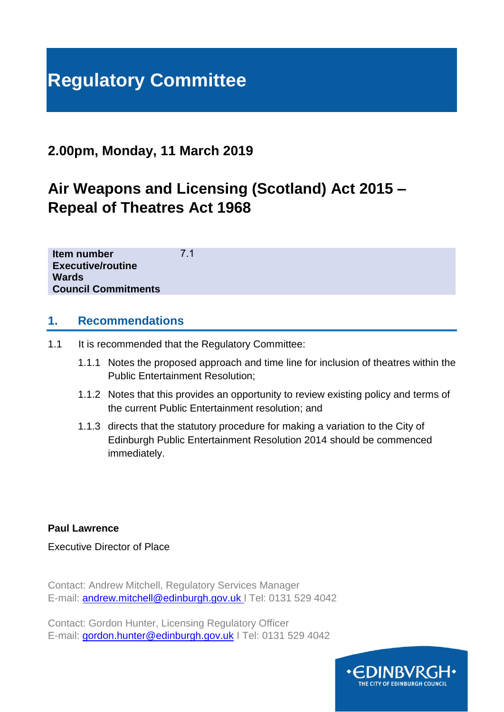# **Regulatory Committee**

## **2.00pm, Monday, 11 March 2019**

## **Air Weapons and Licensing (Scotland) Act 2015 – Repeal of Theatres Act 1968**

**Item number Executive/routine Wards Council Commitments** 7.1

#### **1. Recommendations**

- 1.1 It is recommended that the Regulatory Committee:
	- 1.1.1 Notes the proposed approach and time line for inclusion of theatres within the Public Entertainment Resolution;
	- 1.1.2 Notes that this provides an opportunity to review existing policy and terms of the current Public Entertainment resolution; and
	- 1.1.3 directs that the statutory procedure for making a variation to the City of Edinburgh Public Entertainment Resolution 2014 should be commenced immediately.

**Paul Lawrence**

Executive Director of Place

Contact: Andrew Mitchell, Regulatory Services Manager E-mail: [andrew.mitchell@edinburgh.gov.uk](mailto:andrew.mitchell@edinburgh.gov.uk) l Tel: 0131 529 4042

Contact: Gordon Hunter, Licensing Regulatory Officer E-mail: [gordon.hunter@edinburgh.gov.uk](mailto:gordon.hunter@edinburgh.gov.uk) I Tel: 0131 529 4042

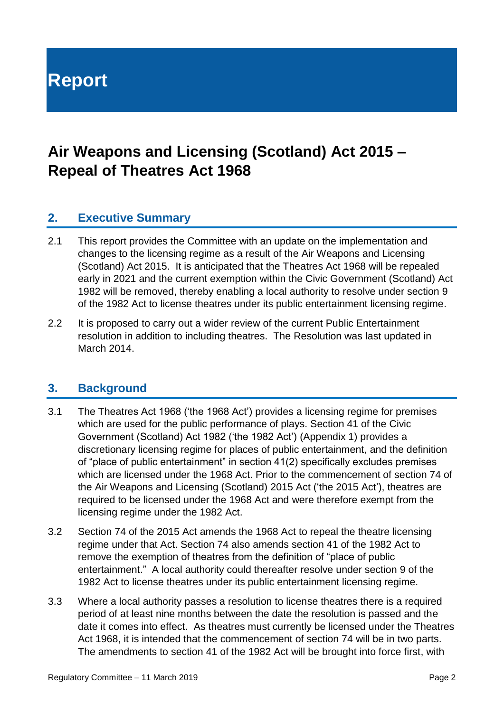**Report**

## **Air Weapons and Licensing (Scotland) Act 2015 – Repeal of Theatres Act 1968**

#### **2. Executive Summary**

- 2.1 This report provides the Committee with an update on the implementation and changes to the licensing regime as a result of the Air Weapons and Licensing (Scotland) Act 2015. It is anticipated that the Theatres Act 1968 will be repealed early in 2021 and the current exemption within the Civic Government (Scotland) Act 1982 will be removed, thereby enabling a local authority to resolve under section 9 of the 1982 Act to license theatres under its public entertainment licensing regime.
- 2.2 It is proposed to carry out a wider review of the current Public Entertainment resolution in addition to including theatres. The Resolution was last updated in March 2014.

#### **3. Background**

- 3.1 The Theatres Act 1968 ('the 1968 Act') provides a licensing regime for premises which are used for the public performance of plays. Section 41 of the Civic Government (Scotland) Act 1982 ('the 1982 Act') (Appendix 1) provides a discretionary licensing regime for places of public entertainment, and the definition of "place of public entertainment" in section 41(2) specifically excludes premises which are licensed under the 1968 Act. Prior to the commencement of section 74 of the Air Weapons and Licensing (Scotland) 2015 Act ('the 2015 Act'), theatres are required to be licensed under the 1968 Act and were therefore exempt from the licensing regime under the 1982 Act.
- 3.2 Section 74 of the 2015 Act amends the 1968 Act to repeal the theatre licensing regime under that Act. Section 74 also amends section 41 of the 1982 Act to remove the exemption of theatres from the definition of "place of public entertainment." A local authority could thereafter resolve under section 9 of the 1982 Act to license theatres under its public entertainment licensing regime.
- 3.3 Where a local authority passes a resolution to license theatres there is a required period of at least nine months between the date the resolution is passed and the date it comes into effect. As theatres must currently be licensed under the Theatres Act 1968, it is intended that the commencement of section 74 will be in two parts. The amendments to section 41 of the 1982 Act will be brought into force first, with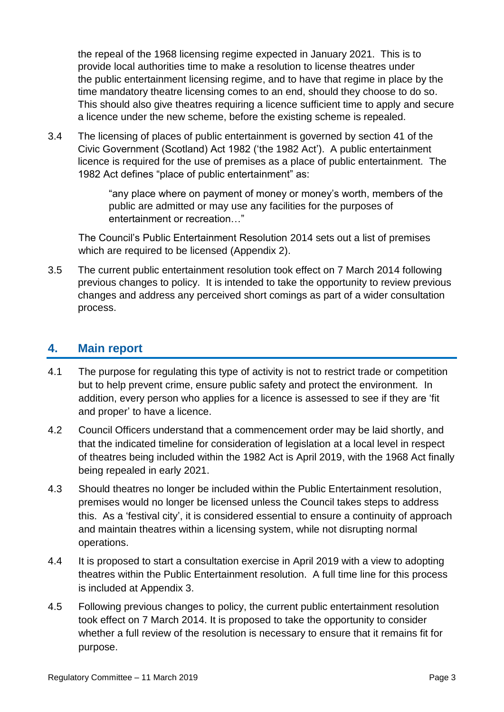the repeal of the 1968 licensing regime expected in January 2021. This is to provide local authorities time to make a resolution to license theatres under the public entertainment licensing regime, and to have that regime in place by the time mandatory theatre licensing comes to an end, should they choose to do so. This should also give theatres requiring a licence sufficient time to apply and secure a licence under the new scheme, before the existing scheme is repealed.

3.4 The licensing of places of public entertainment is governed by section 41 of the Civic Government (Scotland) Act 1982 ('the 1982 Act'). A public entertainment licence is required for the use of premises as a place of public entertainment. The 1982 Act defines "place of public entertainment" as:

> "any place where on payment of money or money's worth, members of the public are admitted or may use any facilities for the purposes of entertainment or recreation…"

The Council's Public Entertainment Resolution 2014 sets out a list of premises which are required to be licensed (Appendix 2).

3.5 The current public entertainment resolution took effect on 7 March 2014 following previous changes to policy. It is intended to take the opportunity to review previous changes and address any perceived short comings as part of a wider consultation process.

#### **4. Main report**

- 4.1 The purpose for regulating this type of activity is not to restrict trade or competition but to help prevent crime, ensure public safety and protect the environment. In addition, every person who applies for a licence is assessed to see if they are 'fit and proper' to have a licence.
- 4.2 Council Officers understand that a commencement order may be laid shortly, and that the indicated timeline for consideration of legislation at a local level in respect of theatres being included within the 1982 Act is April 2019, with the 1968 Act finally being repealed in early 2021.
- 4.3 Should theatres no longer be included within the Public Entertainment resolution, premises would no longer be licensed unless the Council takes steps to address this. As a 'festival city', it is considered essential to ensure a continuity of approach and maintain theatres within a licensing system, while not disrupting normal operations.
- 4.4 It is proposed to start a consultation exercise in April 2019 with a view to adopting theatres within the Public Entertainment resolution. A full time line for this process is included at Appendix 3.
- 4.5 Following previous changes to policy, the current public entertainment resolution took effect on 7 March 2014. It is proposed to take the opportunity to consider whether a full review of the resolution is necessary to ensure that it remains fit for purpose.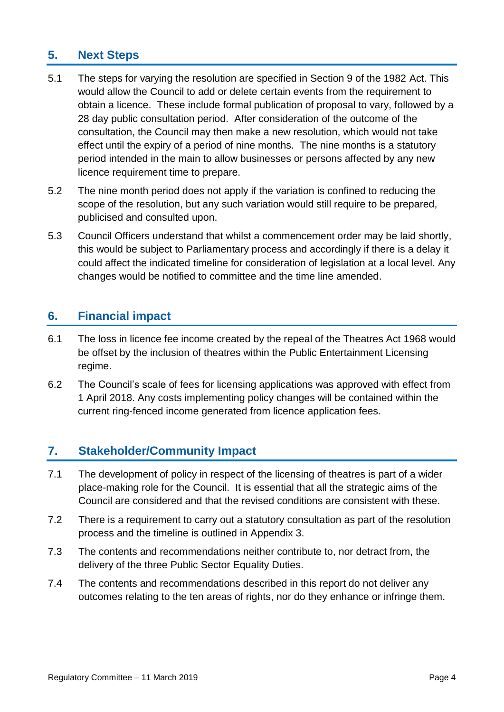## **5. Next Steps**

- 5.1 The steps for varying the resolution are specified in Section 9 of the 1982 Act. This would allow the Council to add or delete certain events from the requirement to obtain a licence. These include formal publication of proposal to vary, followed by a 28 day public consultation period. After consideration of the outcome of the consultation, the Council may then make a new resolution, which would not take effect until the expiry of a period of nine months. The nine months is a statutory period intended in the main to allow businesses or persons affected by any new licence requirement time to prepare.
- 5.2 The nine month period does not apply if the variation is confined to reducing the scope of the resolution, but any such variation would still require to be prepared, publicised and consulted upon.
- 5.3 Council Officers understand that whilst a commencement order may be laid shortly, this would be subject to Parliamentary process and accordingly if there is a delay it could affect the indicated timeline for consideration of legislation at a local level. Any changes would be notified to committee and the time line amended.

#### **6. Financial impact**

- 6.1 The loss in licence fee income created by the repeal of the Theatres Act 1968 would be offset by the inclusion of theatres within the Public Entertainment Licensing regime.
- 6.2 The Council's scale of fees for licensing applications was approved with effect from 1 April 2018. Any costs implementing policy changes will be contained within the current ring-fenced income generated from licence application fees.

#### **7. Stakeholder/Community Impact**

- 7.1 The development of policy in respect of the licensing of theatres is part of a wider place-making role for the Council. It is essential that all the strategic aims of the Council are considered and that the revised conditions are consistent with these.
- 7.2 There is a requirement to carry out a statutory consultation as part of the resolution process and the timeline is outlined in Appendix 3.
- 7.3 The contents and recommendations neither contribute to, nor detract from, the delivery of the three Public Sector Equality Duties.
- 7.4 The contents and recommendations described in this report do not deliver any outcomes relating to the ten areas of rights, nor do they enhance or infringe them.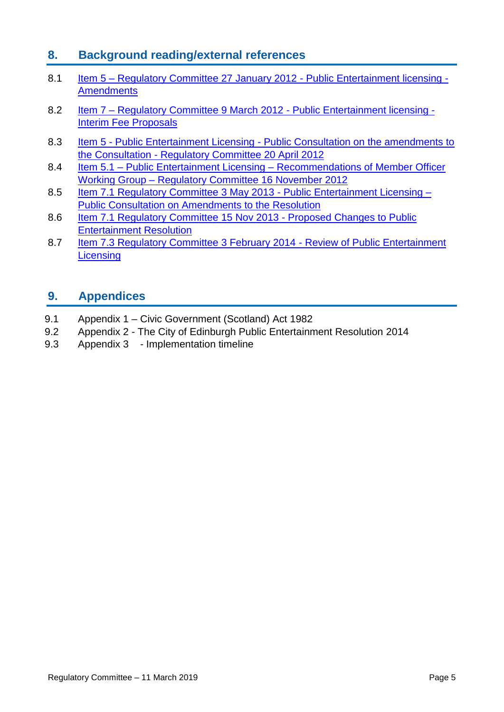### **8. Background reading/external references**

- 8.1 Item 5 [Regulatory Committee 27 January 2012 -](http://www.edinburgh.gov.uk/meetings/meeting/4487/regulatory_committee#minutesDateSearchWidget) Public Entertainment licensing -**[Amendments](http://www.edinburgh.gov.uk/meetings/meeting/4487/regulatory_committee#minutesDateSearchWidget)**
- 8.2 Item 7 [Regulatory Committee 9 March 2012 -](file://///corpad.corp.edinburgh.gov.uk/departments/SfC/CSafety/Community%20Safety/Reports/Regulatory/19-03-11/Theatres%20Act/PE%20Resolution%20March%202014.docx) Public Entertainment licensing -[Interim Fee Proposals](file://///corpad.corp.edinburgh.gov.uk/departments/SfC/CSafety/Community%20Safety/Reports/Regulatory/19-03-11/Theatres%20Act/PE%20Resolution%20March%202014.docx)
- 8.3 Item 5 Public Entertainment Licensing Public Consultation on the amendments to the Consultation - [Regulatory Committee 20 April 2012](http://www.edinburgh.gov.uk/meetings/meeting/4489/regulatory_committee#minutesDateSearchWidget)
- 8.4 Item 5.1 Public Entertainment Licensing [Recommendations of Member Officer](http://www.edinburgh.gov.uk/download/meetings/id/37139/item_6_1-public_entertainment_licensing-recommendations_of_the_member_officer_working_group)  Working Group – [Regulatory Committee 16 November 2012](http://www.edinburgh.gov.uk/download/meetings/id/37139/item_6_1-public_entertainment_licensing-recommendations_of_the_member_officer_working_group)
- 8.5 [Item 7.1 Regulatory Committee 3 May 2013 -](file://///c-cap-nas-02/home$/9072265/Regulatory_Committee_3_May_2013_Full_Meeting_Papers.pdf) Public Entertainment Licensing [Public Consultation on Amendments to the Resolution](file://///c-cap-nas-02/home$/9072265/Regulatory_Committee_3_May_2013_Full_Meeting_Papers.pdf)
- 8.6 [Item 7.1 Regulatory Committee 15 Nov 2013 -](file://///c-cap-nas-02/home$/9072265/V2___Full_Meeting_Papers___Regulatory_Committee___15.11.13.pdf) Proposed Changes to Public [Entertainment Resolution](file://///c-cap-nas-02/home$/9072265/V2___Full_Meeting_Papers___Regulatory_Committee___15.11.13.pdf)
- 8.7 [Item 7.3 Regulatory Committee 3 February 2014 -](http://www.edinburgh.gov.uk/download/meetings/id/59165/item_73_-_review_of_public_entertainment_licensing) Review of Public Entertainment **[Licensing](http://www.edinburgh.gov.uk/download/meetings/id/59165/item_73_-_review_of_public_entertainment_licensing)**

### **9. Appendices**

- 9.1 Appendix 1 Civic Government (Scotland) Act 1982
- 9.2 Appendix 2 The City of Edinburgh Public Entertainment Resolution 2014
- 9.3 Appendix 3 Implementation timeline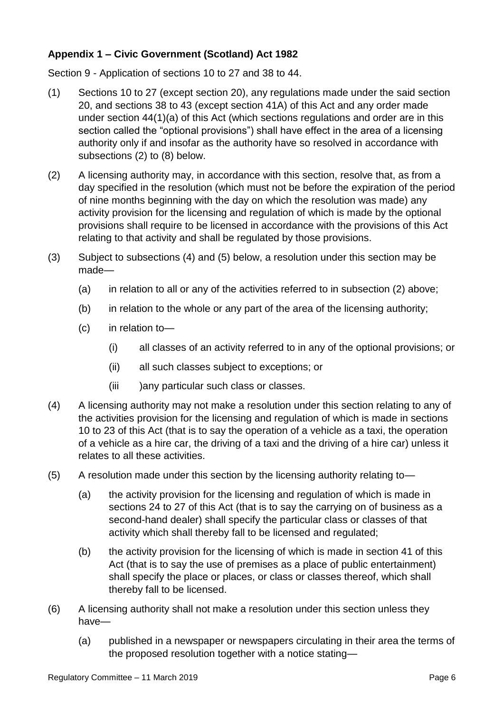#### **Appendix 1 – Civic Government (Scotland) Act 1982**

Section 9 - Application of sections 10 to 27 and 38 to 44.

- (1) Sections 10 to 27 (except section 20), any regulations made under the said section 20, and sections 38 to 43 (except section 41A) of this Act and any order made under section 44(1)(a) of this Act (which sections regulations and order are in this section called the "optional provisions") shall have effect in the area of a licensing authority only if and insofar as the authority have so resolved in accordance with subsections (2) to (8) below.
- (2) A licensing authority may, in accordance with this section, resolve that, as from a day specified in the resolution (which must not be before the expiration of the period of nine months beginning with the day on which the resolution was made) any activity provision for the licensing and regulation of which is made by the optional provisions shall require to be licensed in accordance with the provisions of this Act relating to that activity and shall be regulated by those provisions.
- (3) Subject to subsections (4) and (5) below, a resolution under this section may be made—
	- (a) in relation to all or any of the activities referred to in subsection (2) above;
	- (b) in relation to the whole or any part of the area of the licensing authority;
	- (c) in relation to—
		- (i) all classes of an activity referred to in any of the optional provisions; or
		- (ii) all such classes subject to exceptions; or
		- (iii )any particular such class or classes.
- (4) A licensing authority may not make a resolution under this section relating to any of the activities provision for the licensing and regulation of which is made in sections 10 to 23 of this Act (that is to say the operation of a vehicle as a taxi, the operation of a vehicle as a hire car, the driving of a taxi and the driving of a hire car) unless it relates to all these activities.
- (5) A resolution made under this section by the licensing authority relating to—
	- (a) the activity provision for the licensing and regulation of which is made in sections 24 to 27 of this Act (that is to say the carrying on of business as a second-hand dealer) shall specify the particular class or classes of that activity which shall thereby fall to be licensed and regulated;
	- (b) the activity provision for the licensing of which is made in section 41 of this Act (that is to say the use of premises as a place of public entertainment) shall specify the place or places, or class or classes thereof, which shall thereby fall to be licensed.
- (6) A licensing authority shall not make a resolution under this section unless they have—
	- (a) published in a newspaper or newspapers circulating in their area the terms of the proposed resolution together with a notice stating—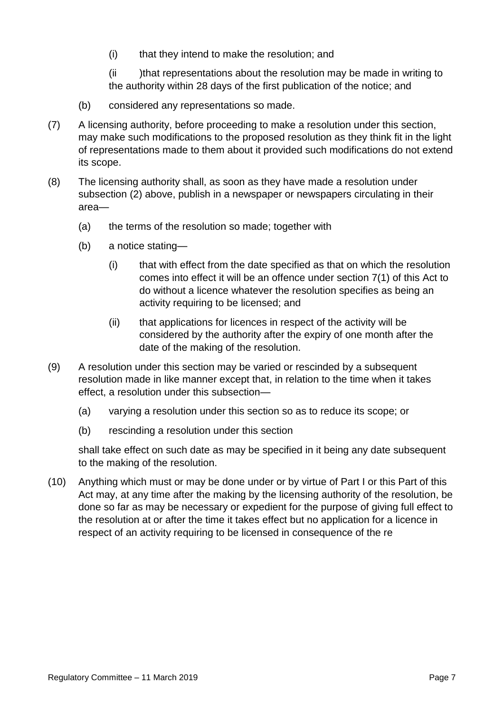(i) that they intend to make the resolution; and

(ii )that representations about the resolution may be made in writing to the authority within 28 days of the first publication of the notice; and

- (b) considered any representations so made.
- (7) A licensing authority, before proceeding to make a resolution under this section, may make such modifications to the proposed resolution as they think fit in the light of representations made to them about it provided such modifications do not extend its scope.
- (8) The licensing authority shall, as soon as they have made a resolution under subsection (2) above, publish in a newspaper or newspapers circulating in their area—
	- (a) the terms of the resolution so made; together with
	- (b) a notice stating—
		- (i) that with effect from the date specified as that on which the resolution comes into effect it will be an offence under section 7(1) of this Act to do without a licence whatever the resolution specifies as being an activity requiring to be licensed; and
		- (ii) that applications for licences in respect of the activity will be considered by the authority after the expiry of one month after the date of the making of the resolution.
- (9) A resolution under this section may be varied or rescinded by a subsequent resolution made in like manner except that, in relation to the time when it takes effect, a resolution under this subsection—
	- (a) varying a resolution under this section so as to reduce its scope; or
	- (b) rescinding a resolution under this section

shall take effect on such date as may be specified in it being any date subsequent to the making of the resolution.

(10) Anything which must or may be done under or by virtue of Part I or this Part of this Act may, at any time after the making by the licensing authority of the resolution, be done so far as may be necessary or expedient for the purpose of giving full effect to the resolution at or after the time it takes effect but no application for a licence in respect of an activity requiring to be licensed in consequence of the re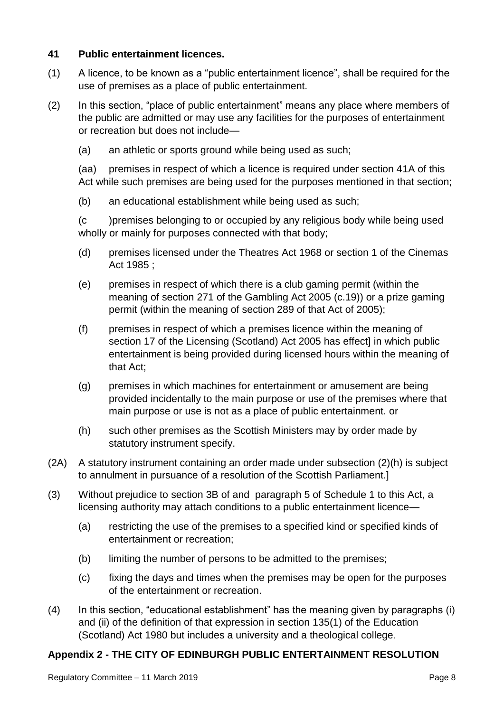#### **41 Public entertainment licences.**

- (1) A licence, to be known as a "public entertainment licence", shall be required for the use of premises as a place of public entertainment.
- (2) In this section, "place of public entertainment" means any place where members of the public are admitted or may use any facilities for the purposes of entertainment or recreation but does not include—
	- (a) an athletic or sports ground while being used as such;

(aa) premises in respect of which a licence is required under section 41A of this Act while such premises are being used for the purposes mentioned in that section;

(b) an educational establishment while being used as such;

(c )premises belonging to or occupied by any religious body while being used wholly or mainly for purposes connected with that body;

- (d) premises licensed under the Theatres Act 1968 or section 1 of the Cinemas Act 1985 ;
- (e) premises in respect of which there is a club gaming permit (within the meaning of section 271 of the Gambling Act 2005 (c.19)) or a prize gaming permit (within the meaning of section 289 of that Act of 2005);
- (f) premises in respect of which a premises licence within the meaning of section 17 of the Licensing (Scotland) Act 2005 has effect] in which public entertainment is being provided during licensed hours within the meaning of that Act;
- (g) premises in which machines for entertainment or amusement are being provided incidentally to the main purpose or use of the premises where that main purpose or use is not as a place of public entertainment. or
- (h) such other premises as the Scottish Ministers may by order made by statutory instrument specify.
- (2A) A statutory instrument containing an order made under subsection (2)(h) is subject to annulment in pursuance of a resolution of the Scottish Parliament.]
- (3) Without prejudice to section 3B of and paragraph 5 of Schedule 1 to this Act, a licensing authority may attach conditions to a public entertainment licence—
	- (a) restricting the use of the premises to a specified kind or specified kinds of entertainment or recreation;
	- (b) limiting the number of persons to be admitted to the premises;
	- (c) fixing the days and times when the premises may be open for the purposes of the entertainment or recreation.
- (4) In this section, "educational establishment" has the meaning given by paragraphs (i) and (ii) of the definition of that expression in section 135(1) of the Education (Scotland) Act 1980 but includes a university and a theological college.

#### **Appendix 2 - THE CITY OF EDINBURGH PUBLIC ENTERTAINMENT RESOLUTION**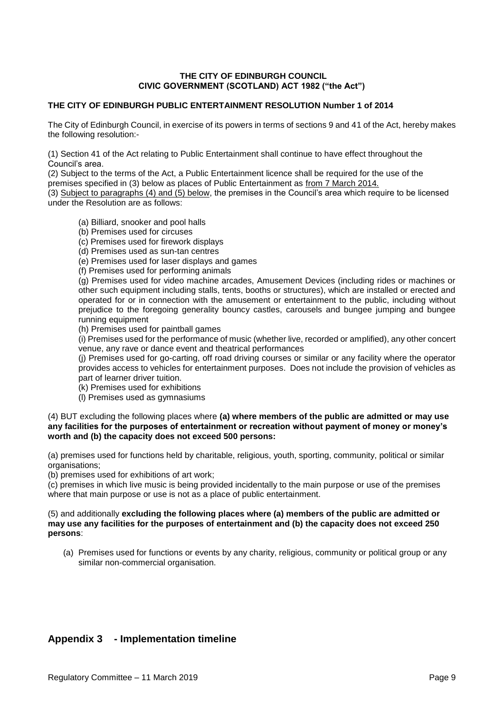#### **THE CITY OF EDINBURGH COUNCIL CIVIC GOVERNMENT (SCOTLAND) ACT 1982 ("the Act")**

#### **THE CITY OF EDINBURGH PUBLIC ENTERTAINMENT RESOLUTION Number 1 of 2014**

The City of Edinburgh Council, in exercise of its powers in terms of sections 9 and 41 of the Act, hereby makes the following resolution:-

(1) Section 41 of the Act relating to Public Entertainment shall continue to have effect throughout the Council's area.

(2) Subject to the terms of the Act, a Public Entertainment licence shall be required for the use of the premises specified in (3) below as places of Public Entertainment as from 7 March 2014*.*

(3) Subject to paragraphs (4) and (5) below, the premises in the Council's area which require to be licensed under the Resolution are as follows:

(a) Billiard, snooker and pool halls

(b) Premises used for circuses

(c) Premises used for firework displays

(d) Premises used as sun-tan centres

(e) Premises used for laser displays and games

(f) Premises used for performing animals

(g) Premises used for video machine arcades, Amusement Devices (including rides or machines or other such equipment including stalls, tents, booths or structures), which are installed or erected and operated for or in connection with the amusement or entertainment to the public, including without prejudice to the foregoing generality bouncy castles, carousels and bungee jumping and bungee running equipment

(h) Premises used for paintball games

(i) Premises used for the performance of music (whether live, recorded or amplified), any other concert venue, any rave or dance event and theatrical performances

(j) Premises used for go-carting, off road driving courses or similar or any facility where the operator provides access to vehicles for entertainment purposes. Does not include the provision of vehicles as part of learner driver tuition.

(k) Premises used for exhibitions

(l) Premises used as gymnasiums

(4) BUT excluding the following places where **(a) where members of the public are admitted or may use any facilities for the purposes of entertainment or recreation without payment of money or money's worth and (b) the capacity does not exceed 500 persons:** 

(a) premises used for functions held by charitable, religious, youth, sporting, community, political or similar organisations;

(b) premises used for exhibitions of art work;

(c) premises in which live music is being provided incidentally to the main purpose or use of the premises where that main purpose or use is not as a place of public entertainment.

#### (5) and additionally **excluding the following places where (a) members of the public are admitted or may use any facilities for the purposes of entertainment and (b) the capacity does not exceed 250 persons**:

(a) Premises used for functions or events by any charity, religious, community or political group or any similar non-commercial organisation.

#### **Appendix 3 - Implementation timeline**